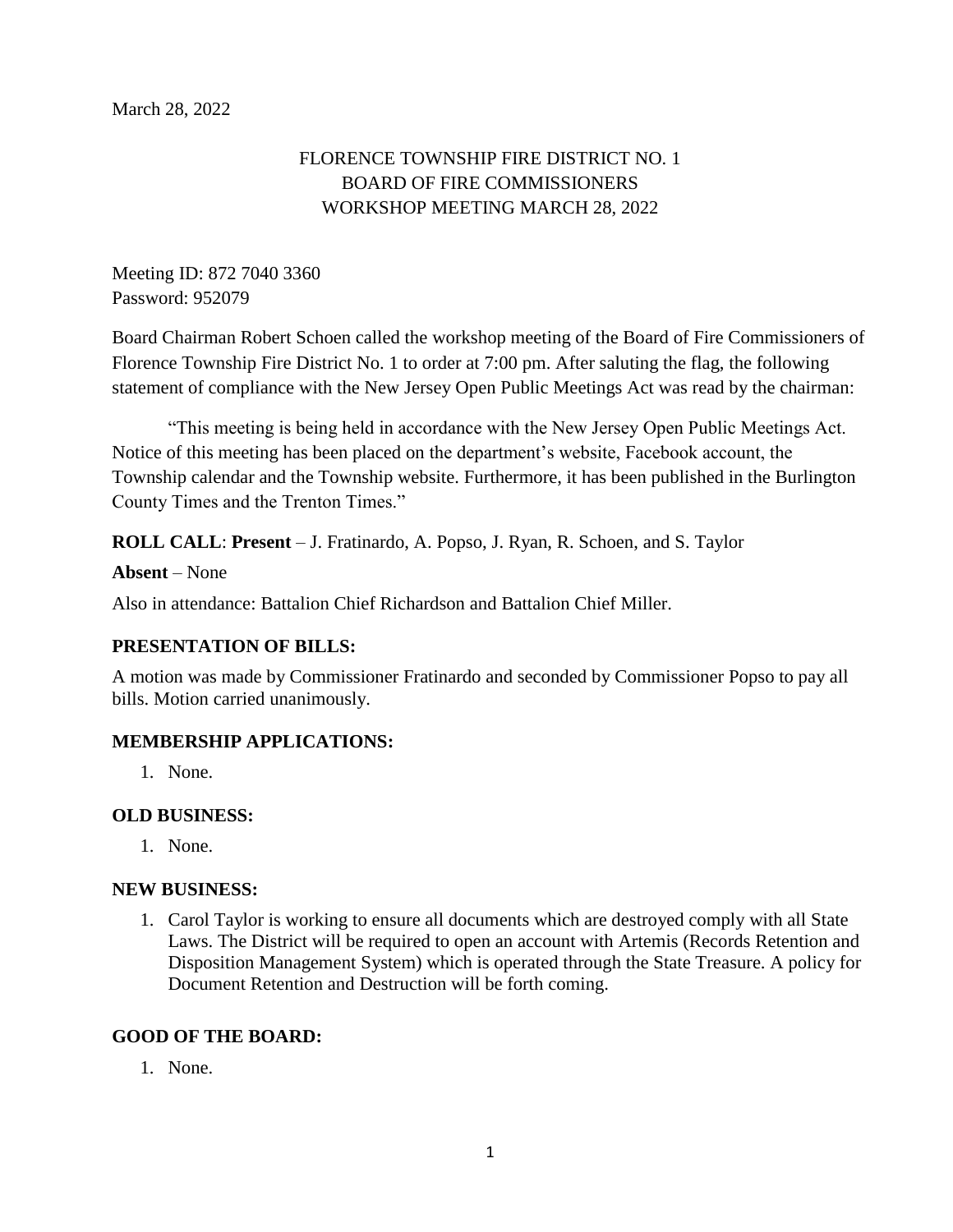# FLORENCE TOWNSHIP FIRE DISTRICT NO. 1 BOARD OF FIRE COMMISSIONERS WORKSHOP MEETING MARCH 28, 2022

Meeting ID: 872 7040 3360 Password: 952079

Board Chairman Robert Schoen called the workshop meeting of the Board of Fire Commissioners of Florence Township Fire District No. 1 to order at 7:00 pm. After saluting the flag, the following statement of compliance with the New Jersey Open Public Meetings Act was read by the chairman:

"This meeting is being held in accordance with the New Jersey Open Public Meetings Act. Notice of this meeting has been placed on the department's website, Facebook account, the Township calendar and the Township website. Furthermore, it has been published in the Burlington County Times and the Trenton Times."

**ROLL CALL**: **Present** – J. Fratinardo, A. Popso, J. Ryan, R. Schoen, and S. Taylor

**Absent** – None

Also in attendance: Battalion Chief Richardson and Battalion Chief Miller.

#### **PRESENTATION OF BILLS:**

A motion was made by Commissioner Fratinardo and seconded by Commissioner Popso to pay all bills. Motion carried unanimously.

#### **MEMBERSHIP APPLICATIONS:**

1. None.

#### **OLD BUSINESS:**

1. None.

#### **NEW BUSINESS:**

1. Carol Taylor is working to ensure all documents which are destroyed comply with all State Laws. The District will be required to open an account with Artemis (Records Retention and Disposition Management System) which is operated through the State Treasure. A policy for Document Retention and Destruction will be forth coming.

#### **GOOD OF THE BOARD:**

1. None.